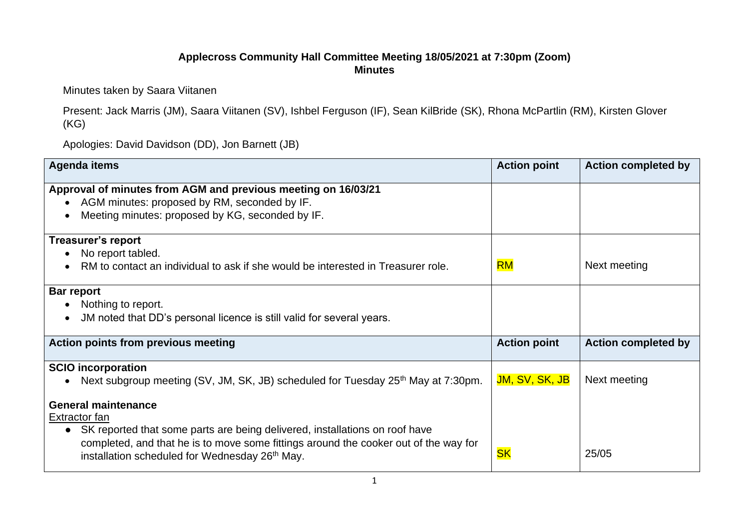## **Applecross Community Hall Committee Meeting 18/05/2021 at 7:30pm (Zoom) Minutes**

## Minutes taken by Saara Viitanen

Present: Jack Marris (JM), Saara Viitanen (SV), Ishbel Ferguson (IF), Sean KilBride (SK), Rhona McPartlin (RM), Kirsten Glover (KG)

Apologies: David Davidson (DD), Jon Barnett (JB)

| <b>Agenda items</b>                                                                                                                                                                                                                                                              | <b>Action point</b>   | <b>Action completed by</b> |
|----------------------------------------------------------------------------------------------------------------------------------------------------------------------------------------------------------------------------------------------------------------------------------|-----------------------|----------------------------|
| Approval of minutes from AGM and previous meeting on 16/03/21<br>AGM minutes: proposed by RM, seconded by IF.<br>Meeting minutes: proposed by KG, seconded by IF.                                                                                                                |                       |                            |
| <b>Treasurer's report</b><br>No report tabled.<br>RM to contact an individual to ask if she would be interested in Treasurer role.                                                                                                                                               | <b>RM</b>             | Next meeting               |
| Bar report<br>Nothing to report.<br>JM noted that DD's personal licence is still valid for several years.                                                                                                                                                                        |                       |                            |
| Action points from previous meeting                                                                                                                                                                                                                                              | <b>Action point</b>   | <b>Action completed by</b> |
| <b>SCIO</b> incorporation<br>Next subgroup meeting (SV, JM, SK, JB) scheduled for Tuesday 25 <sup>th</sup> May at 7:30pm.                                                                                                                                                        | <b>JM, SV, SK, JB</b> | Next meeting               |
| <b>General maintenance</b><br>Extractor fan<br>SK reported that some parts are being delivered, installations on roof have<br>completed, and that he is to move some fittings around the cooker out of the way for<br>installation scheduled for Wednesday 26 <sup>th</sup> May. | <b>SK</b>             | 25/05                      |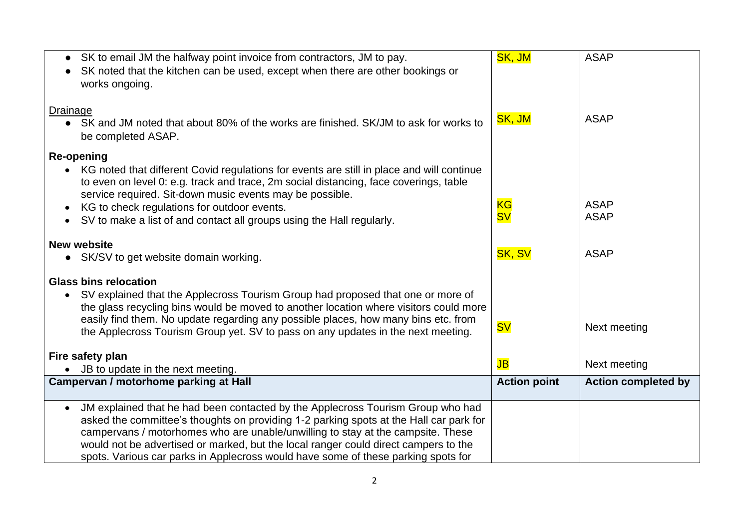| SK to email JM the halfway point invoice from contractors, JM to pay.<br>SK noted that the kitchen can be used, except when there are other bookings or                                                                                          | SK, JM              | <b>ASAP</b>                |
|--------------------------------------------------------------------------------------------------------------------------------------------------------------------------------------------------------------------------------------------------|---------------------|----------------------------|
| works ongoing.                                                                                                                                                                                                                                   |                     |                            |
| <b>Drainage</b>                                                                                                                                                                                                                                  | SK, JM              | <b>ASAP</b>                |
| • SK and JM noted that about 80% of the works are finished. SK/JM to ask for works to<br>be completed ASAP.                                                                                                                                      |                     |                            |
| <b>Re-opening</b>                                                                                                                                                                                                                                |                     |                            |
| • KG noted that different Covid regulations for events are still in place and will continue<br>to even on level 0: e.g. track and trace, 2m social distancing, face coverings, table<br>service required. Sit-down music events may be possible. |                     |                            |
| KG to check regulations for outdoor events.<br>$\bullet$                                                                                                                                                                                         | <b>KG</b>           | <b>ASAP</b>                |
| SV to make a list of and contact all groups using the Hall regularly.                                                                                                                                                                            | <b>SV</b>           | <b>ASAP</b>                |
| <b>New website</b>                                                                                                                                                                                                                               |                     |                            |
| • SK/SV to get website domain working.                                                                                                                                                                                                           | <b>SK, SV</b>       | <b>ASAP</b>                |
| <b>Glass bins relocation</b>                                                                                                                                                                                                                     |                     |                            |
| SV explained that the Applecross Tourism Group had proposed that one or more of<br>the glass recycling bins would be moved to another location where visitors could more                                                                         |                     |                            |
| easily find them. No update regarding any possible places, how many bins etc. from                                                                                                                                                               |                     |                            |
| the Applecross Tourism Group yet. SV to pass on any updates in the next meeting.                                                                                                                                                                 | <b>SV</b>           | Next meeting               |
| Fire safety plan                                                                                                                                                                                                                                 |                     |                            |
| JB to update in the next meeting.                                                                                                                                                                                                                | $J\mathsf{B}$       | Next meeting               |
| Campervan / motorhome parking at Hall                                                                                                                                                                                                            | <b>Action point</b> | <b>Action completed by</b> |
| JM explained that he had been contacted by the Applecross Tourism Group who had<br>$\bullet$                                                                                                                                                     |                     |                            |
| asked the committee's thoughts on providing 1-2 parking spots at the Hall car park for<br>campervans / motorhomes who are unable/unwilling to stay at the campsite. These                                                                        |                     |                            |
| would not be advertised or marked, but the local ranger could direct campers to the                                                                                                                                                              |                     |                            |
| spots. Various car parks in Applecross would have some of these parking spots for                                                                                                                                                                |                     |                            |